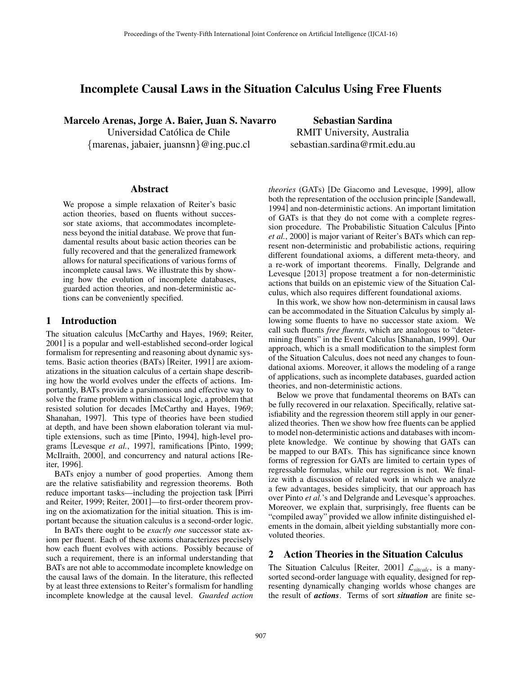# Incomplete Causal Laws in the Situation Calculus Using Free Fluents

Marcelo Arenas, Jorge A. Baier, Juan S. Navarro Universidad Católica de Chile *{*marenas, jabaier, juansnn*}*@ing.puc.cl

Sebastian Sardina RMIT University, Australia sebastian.sardina@rmit.edu.au

#### Abstract

We propose a simple relaxation of Reiter's basic action theories, based on fluents without successor state axioms, that accommodates incompleteness beyond the initial database. We prove that fundamental results about basic action theories can be fully recovered and that the generalized framework allows for natural specifications of various forms of incomplete causal laws. We illustrate this by showing how the evolution of incomplete databases, guarded action theories, and non-deterministic actions can be conveniently specified.

### 1 Introduction

The situation calculus [McCarthy and Hayes, 1969; Reiter, 2001] is a popular and well-established second-order logical formalism for representing and reasoning about dynamic systems. Basic action theories (BATs) [Reiter, 1991] are axiomatizations in the situation calculus of a certain shape describing how the world evolves under the effects of actions. Importantly, BATs provide a parsimonious and effective way to solve the frame problem within classical logic, a problem that resisted solution for decades [McCarthy and Hayes, 1969; Shanahan, 1997]. This type of theories have been studied at depth, and have been shown elaboration tolerant via multiple extensions, such as time [Pinto, 1994], high-level programs [Levesque *et al.*, 1997], ramifications [Pinto, 1999; McIlraith, 2000], and concurrency and natural actions [Reiter, 1996].

BATs enjoy a number of good properties. Among them are the relative satisfiability and regression theorems. Both reduce important tasks—including the projection task [Pirri and Reiter, 1999; Reiter, 2001]—to first-order theorem proving on the axiomatization for the initial situation. This is important because the situation calculus is a second-order logic.

In BATs there ought to be *exactly one* successor state axiom per fluent. Each of these axioms characterizes precisely how each fluent evolves with actions. Possibly because of such a requirement, there is an informal understanding that BATs are not able to accommodate incomplete knowledge on the causal laws of the domain. In the literature, this reflected by at least three extensions to Reiter's formalism for handling incomplete knowledge at the causal level. *Guarded action* *theories* (GATs) [De Giacomo and Levesque, 1999], allow both the representation of the occlusion principle [Sandewall, 1994] and non-deterministic actions. An important limitation of GATs is that they do not come with a complete regression procedure. The Probabilistic Situation Calculus [Pinto *et al.*, 2000] is major variant of Reiter's BATs which can represent non-deterministic and probabilistic actions, requiring different foundational axioms, a different meta-theory, and a re-work of important theorems. Finally, Delgrande and Levesque [2013] propose treatment a for non-deterministic actions that builds on an epistemic view of the Situation Calculus, which also requires different foundational axioms.

In this work, we show how non-determinism in causal laws can be accommodated in the Situation Calculus by simply allowing some fluents to have no successor state axiom. We call such fluents *free fluents*, which are analogous to "determining fluents" in the Event Calculus [Shanahan, 1999]. Our approach, which is a small modification to the simplest form of the Situation Calculus, does not need any changes to foundational axioms. Moreover, it allows the modeling of a range of applications, such as incomplete databases, guarded action theories, and non-deterministic actions.

Below we prove that fundamental theorems on BATs can be fully recovered in our relaxation. Specifically, relative satisfiability and the regression theorem still apply in our generalized theories. Then we show how free fluents can be applied to model non-deterministic actions and databases with incomplete knowledge. We continue by showing that GATs can be mapped to our BATs. This has significance since known forms of regression for GATs are limited to certain types of regressable formulas, while our regression is not. We finalize with a discussion of related work in which we analyze a few advantages, besides simplicity, that our approach has over Pinto *et al.*'s and Delgrande and Levesque's approaches. Moreover, we explain that, surprisingly, free fluents can be "compiled away" provided we allow infinite distinguished elements in the domain, albeit yielding substantially more convoluted theories.

## 2 Action Theories in the Situation Calculus

The Situation Calculus [Reiter, 2001] *Lsitcalc*, is a manysorted second-order language with equality, designed for representing dynamically changing worlds whose changes are the result of *actions*. Terms of sort *situation* are finite se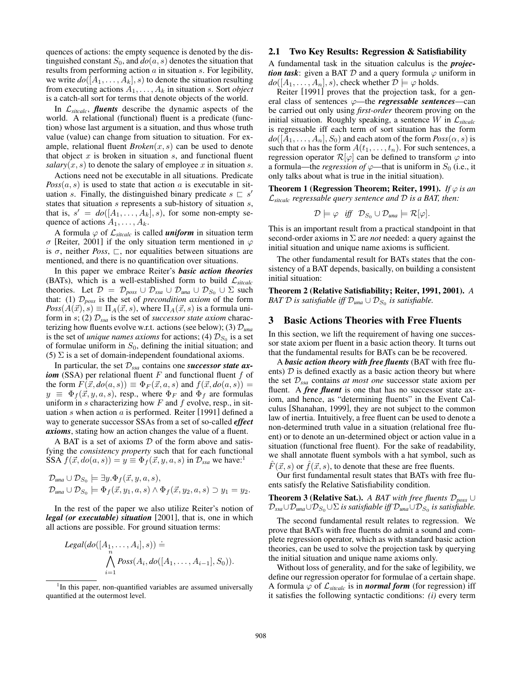quences of actions: the empty sequence is denoted by the distinguished constant  $S_0$ , and  $do(a, s)$  denotes the situation that results from performing action *a* in situation *s*. For legibility, we write  $do([A_1, \ldots, A_k], s)$  to denote the situation resulting from executing actions *A*1*,...,A<sup>k</sup>* in situation *s*. Sort *object* is a catch-all sort for terms that denote objects of the world.

In *Lsitcalc*, *fluents* describe the dynamic aspects of the world. A relational (functional) fluent is a predicate (function) whose last argument is a situation, and thus whose truth value (value) can change from situation to situation. For example, relational fluent *Broken*(*x, s*) can be used to denote that object *x* is broken in situation *s*, and functional fluent *salary*( $x, s$ ) to denote the salary of employee  $x$  in situation  $s$ .

Actions need not be executable in all situations. Predicate  $Poss(a, s)$  is used to state that action *a* is executable in situation *s*. Finally, the distinguished binary predicate  $s \subseteq s'$ states that situation *s* represents a sub-history of situation *s*, that is,  $s' = do([A_1, \ldots, A_k], s)$ , for some non-empty sequence of actions  $A_1, \ldots, A_k$ .

A formula  $\varphi$  of  $\mathcal{L}_{\text{sticalc}}$  is called *uniform* in situation term  $\sigma$  [Reiter, 2001] if the only situation term mentioned in  $\varphi$ is  $\sigma$ , neither *Poss*,  $\Box$ , nor equalities between situations are mentioned, and there is no quantification over situations.

In this paper we embrace Reiter's *basic action theories* (BATs), which is a well-established form to build  $\mathcal{L}_{\text{sticalc}}$ theories. Let  $\mathcal{D} = \mathcal{D}_{poss} \cup \mathcal{D}_{ssa} \cup \mathcal{D}_{una} \cup \mathcal{D}_{S_0} \cup \Sigma$  such that: (1) *Dposs* is the set of *precondition axiom* of the form  $Poss(A(\vec{x}), s) \equiv \Pi_A(\vec{x}, s)$ , where  $\Pi_A(\vec{x}, s)$  is a formula uniform in *s*; (2) *Dssa* is the set of *successor state axiom* characterizing how fluents evolve w.r.t. actions (see below); (3) *Duna* is the set of *unique names axioms* for actions; (4)  $\mathcal{D}_{S_0}$  is a set of formulae uniform in  $S_0$ , defining the initial situation; and (5)  $\Sigma$  is a set of domain-independent foundational axioms.

In particular, the set *Dssa* contains one *successor state axiom* (SSA) per relational fluent *F* and functional fluent *f* of the form  $F(\vec{x}, do(a, s)) \equiv \Phi_F(\vec{x}, a, s)$  and  $f(\vec{x}, do(a, s)) =$  $y \equiv \Phi_f(\vec{x}, y, a, s)$ , resp., where  $\Phi_F$  and  $\Phi_f$  are formulas uniform in *s* characterizing how *F* and *f* evolve, resp., in situation *s* when action *a* is performed. Reiter [1991] defined a way to generate successor SSAs from a set of so-called *effect axioms*, stating how an action changes the value of a fluent.

A BAT is a set of axioms *D* of the form above and satisfying the *consistency property* such that for each functional SSA  $f(\vec{x}, do(a, s)) = y \equiv \Phi_f(\vec{x}, y, a, s)$  in  $\mathcal{D}_{ssa}$  we have:<sup>1</sup>

$$
\mathcal{D}_{una} \cup \mathcal{D}_{S_0} \models \exists y.\Phi_f(\vec{x}, y, a, s),
$$
  
\n
$$
\mathcal{D}_{una} \cup \mathcal{D}_{S_0} \models \Phi_f(\vec{x}, y_1, a, s) \land \Phi_f(\vec{x}, y_2, a, s) \supset y_1 = y_2.
$$

In the rest of the paper we also utilize Reiter's notion of *legal (or executable) situation* [2001], that is, one in which all actions are possible. For ground situation terms:

$$
Legal(do([A1,...,Ai], s)) \doteq \bigwedge_{i=1}^{n} Poss(Ai, do([A1,...,Ai-1], S0)).
$$

#### 2.1 Two Key Results: Regression & Satisfiability

A fundamental task in the situation calculus is the *projection task*: given a BAT  $D$  and a query formula  $\varphi$  uniform in  $do([A_1, \ldots, A_n], s)$ , check whether  $\mathcal{D} \models \varphi$  holds.

Reiter [1991] proves that the projection task, for a general class of sentences  $\varphi$ —the *regressable sentences***—can** be carried out only using *first-order* theorem proving on the initial situation. Roughly speaking, a sentence *W* in  $\mathcal{L}_{\text{stcalc}}$ is regressable iff each term of sort situation has the form  $do([A_1, \ldots, A_n], S_0)$  and each atom of the form  $Poss(\alpha, s)$  is such that  $\alpha$  has the form  $A(t_1, \ldots, t_n)$ . For such sentences, a regression operator  $\mathcal{R}[\varphi]$  can be defined to transform  $\varphi$  into a formula—the *regression of*  $\varphi$ —that is uniform in  $S_0$  (i.e., it only talks about what is true in the initial situation).

**Theorem 1 (Regression Theorem; Reiter, 1991).** *If*  $\varphi$  *is an Lsitcalc regressable query sentence and D is a BAT, then:*

$$
\mathcal{D}\models \varphi \quad \text{iff} \quad \mathcal{D}_{S_0}\cup \mathcal{D}_{\text{una}}\models \mathcal{R}[\varphi].
$$

This is an important result from a practical standpoint in that second-order axioms in  $\Sigma$  are *not* needed: a query against the initial situation and unique name axioms is sufficient.

The other fundamental result for BATs states that the consistency of a BAT depends, basically, on building a consistent initial situation:

Theorem 2 (Relative Satisfiability; Reiter, 1991, 2001). *A BAT D is satisfiable iff*  $\mathcal{D}_{una} \cup \mathcal{D}_{S_0}$  *is satisfiable.* 

## 3 Basic Actions Theories with Free Fluents

In this section, we lift the requirement of having one successor state axiom per fluent in a basic action theory. It turns out that the fundamental results for BATs can be be recovered.

A *basic action theory with free fluents* (BAT with free fluents)  $D$  is defined exactly as a basic action theory but where the set *Dssa* contains *at most one* successor state axiom per fluent. A *free fluent* is one that has no successor state axiom, and hence, as "determining fluents" in the Event Calculus [Shanahan, 1999], they are not subject to the common law of inertia. Intuitively, a free fluent can be used to denote a non-determined truth value in a situation (relational free fluent) or to denote an un-determined object or action value in a situation (functional free fluent). For the sake of readability, we shall annotate fluent symbols with a hat symbol, such as  $F(\vec{x}, s)$  or  $f(\vec{x}, s)$ , to denote that these are free fluents.

Our first fundamental result states that BATs with free fluents satisfy the Relative Satisfiability condition.

**Theorem 3 (Relative Sat.).** *A BAT with free fluents*  $\mathcal{D}_{poss}$   $\cup$  $\mathcal{D}_{ssa} \cup \mathcal{D}_{una} \cup \mathcal{D}_{S_0} \cup \Sigma$  *is satisfiable iff*  $\mathcal{D}_{una} \cup \mathcal{D}_{S_0}$  *is satisfiable.* 

The second fundamental result relates to regression. We prove that BATs with free fluents do admit a sound and complete regression operator, which as with standard basic action theories, can be used to solve the projection task by querying the initial situation and unique name axioms only.

Without loss of generality, and for the sake of legibility, we define our regression operator for formulae of a certain shape. A formula  $\varphi$  of  $\mathcal{L}_{\text{sticalc}}$  is in *normal form* (for regression) iff it satisfies the following syntactic conditions: *(i)* every term

<sup>&</sup>lt;sup>1</sup>In this paper, non-quantified variables are assumed universally quantified at the outermost level.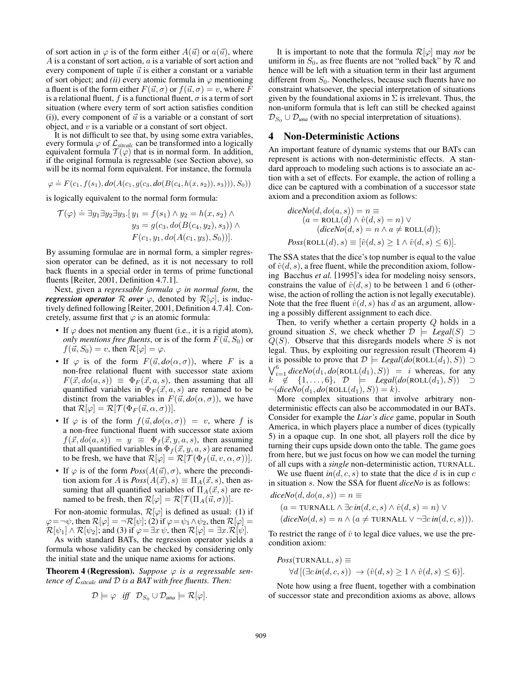of sort action in  $\varphi$  is of the form either  $A(\vec{u})$  or  $a(\vec{u})$ , where *A* is a constant of sort action, *a* is a variable of sort action and every component of tuple  $\vec{u}$  is either a constant or a variable of sort object; and *(ii)* every atomic formula in  $\varphi$  mentioning a fluent is of the form either  $F(\vec{u}, \sigma)$  or  $f(\vec{u}, \sigma) = v$ , where *F* is a relational fluent,  $f$  is a functional fluent,  $\sigma$  is a term of sort situation (where every term of sort action satisfies condition (i)), every component of  $\vec{u}$  is a variable or a constant of sort object, and *v* is a variable or a constant of sort object.

It is not difficult to see that, by using some extra variables, every formula  $\varphi$  of  $\mathcal{L}_{\text{sticalc}}$  can be transformed into a logically equivalent formula  $\mathcal{T}(\varphi)$  that is in normal form. In addition, if the original formula is regressable (see Section above), so will be its normal form equivalent. For instance, the formula

$$
\varphi \doteq F(c_1, f(s_1), do(A(c_1, g(c_3, do(B(c_4, h(x, s_2)), s_3))), S_0))
$$

is logically equivalent to the normal form formula:

$$
\mathcal{T}(\varphi) \doteq \exists y_1 \exists y_2 \exists y_3. [y_1 = f(s_1) \land y_2 = h(x, s_2) \land y_3 = g(c_3, do(B(c_4, y_2), s_3)) \land F(c_1, y_1, do(A(c_1, y_3), S_0))].
$$

By assuming formulae are in normal form, a simpler regression operator can be defined, as it is not necessary to roll back fluents in a special order in terms of prime functional fluents [Reiter, 2001, Definition 4.7.1].

Next, given a *regressable formula*  $\varphi$  *in normal form*, the *regression operator*  $\mathcal R$  *over*  $\varphi$ , denoted by  $\mathcal R[\varphi]$ , is inductively defined following [Reiter, 2001, Definition 4.7.4]. Concretely, assume first that  $\varphi$  is an atomic formula:

- If  $\varphi$  does not mention any fluent (i.e., it is a rigid atom), *only mentions free fluents,* or is of the form  $F(\vec{u}, S_0)$  or  $f(\vec{u}, S_0) = v$ , then  $\mathcal{R}[\varphi] = \varphi$ .
- If  $\varphi$  is of the form  $F(\vec{u}, do(\alpha, \sigma))$ , where *F* is a non-free relational fluent with successor state axiom  $F(\vec{x}, do(a, s)) \equiv \Phi_F(\vec{x}, a, s)$ , then assuming that all quantified variables in  $\Phi_F(\vec{x}, a, s)$  are renamed to be distinct from the variables in  $F(\vec{u}, do(\alpha, \sigma))$ , we have that  $\mathcal{R}[\varphi] = \mathcal{R}[\mathcal{T}(\Phi_F(\vec{u}, \alpha, \sigma))].$
- If  $\varphi$  is of the form  $f(\vec{u}, do(\alpha, \sigma)) = v$ , where f is a non-free functional fluent with successor state axiom  $f(\vec{x}, do(a, s)) = y \equiv \Phi_f(\vec{x}, y, a, s)$ , then assuming that all quantified variables in  $\Phi_f(\vec{x}, y, a, s)$  are renamed to be fresh, we have that  $\mathcal{R}[\varphi] = \mathcal{R}[\mathcal{T}(\Phi_f(\vec{u}, v, \alpha, \sigma))].$
- If  $\varphi$  is of the form  $Poss(A(\vec{u}), \sigma)$ , where the precondition axiom for *A* is  $Poss(A(\vec{x}), s) \equiv \Pi_A(\vec{x}, s)$ , then assuming that all quantified variables of  $\Pi_A(\vec{x}, s)$  are renamed to be fresh, then  $\mathcal{R}[\varphi] = \mathcal{R}[\mathcal{T}(\Pi_A(\vec{u}, \sigma))].$

For non-atomic formulas,  $\mathcal{R}[\varphi]$  is defined as usual: (1) if  $\varphi = \neg \psi$ , then  $\mathcal{R}[\varphi] = \neg \mathcal{R}[\psi]$ ; (2) if  $\varphi = \psi_1 \wedge \psi_2$ , then  $\mathcal{R}[\varphi] =$  $\mathcal{R}[\psi_1] \wedge \mathcal{R}[\psi_2]$ ; and (3) if  $\varphi = \exists x \psi$ , then  $\mathcal{R}[\varphi] = \exists x \cdot \mathcal{R}[\psi]$ .

As with standard BATs, the regression operator yields a formula whose validity can be checked by considering only the initial state and the unique name axioms for actions.

**Theorem 4 (Regression).** *Suppose*  $\varphi$  *is a regressable sentence of Lsitcalc and D is a BAT with free fluents. Then:*

$$
\mathcal{D}\models \varphi \quad \text{iff} \quad \mathcal{D}_{S_0}\cup \mathcal{D}_{\text{una}}\models \mathcal{R}[\varphi].
$$

It is important to note that the formula  $\mathcal{R}[\varphi]$  may *not* be uniform in  $S_0$ , as free fluents are not "rolled back" by  $R$  and hence will be left with a situation term in their last argument different from  $S_0$ . Nonetheless, because such fluents have no constraint whatsoever, the special interpretation of situations given by the foundational axioms in  $\Sigma$  is irrelevant. Thus, the non-uniform formula that is left can still be checked against  $\mathcal{D}_{S_0} \cup \mathcal{D}_{una}$  (with no special interpretation of situations).

#### 4 Non-Deterministic Actions

An important feature of dynamic systems that our BATs can represent is actions with non-deterministic effects. A standard approach to modeling such actions is to associate an action with a set of effects. For example, the action of rolling a dice can be captured with a combination of a successor state axiom and a precondition axiom as follows:

$$
diceNo(d, do(a, s)) = n \equiv
$$
  
\n
$$
(a = \text{ROLL}(d) \land \hat{v}(d, s) = n) \lor
$$
  
\n
$$
(diceNo(d, s) = n \land a \neq \text{ROLL}(d));
$$
  
\n
$$
Poss(\text{ROLL}(d), s) \equiv [\hat{v}(d, s) \ge 1 \land \hat{v}(d, s) \le 6)].
$$

The SSA states that the dice's top number is equal to the value of  $\hat{v}(d, s)$ , a free fluent, while the precondition axiom, following Bacchus *et al.* [1995]'s idea for modeling noisy sensors, constrains the value of  $\hat{v}(d, s)$  to be between 1 and 6 (otherwise, the action of rolling the action is not legally executable). Note that the free fluent  $\hat{v}(d, s)$  has *d* as an argument, allowing a possibly different assignment to each dice.

Then, to verify whether a certain property *Q* holds in a ground situation *S*, we check whether  $\mathcal{D} \models \text{legal}(S) \supset$ *Q*(*S*). Observe that this disregards models where *S* is not legal. Thus, by exploiting our regression result (Theorem 4) it is possible to prove that  $\mathcal{D} \models \text{legal}(do(\text{ROLL}(d_1), S)) \supset$  $\bigvee_{i=1}^{6} \text{diceNo}(d_1, \text{do}(\text{ROLL}(d_1), S)) = i$  whereas, for any  $k \notin \{1, \ldots, 6\}, \mathcal{D} \models \text{Legal}(do(\text{ROLL}(d_1), S)) \supset$  $\neg (diceNo(d_1, do(ROLL(d_1), S)) = k).$ 

More complex situations that involve arbitrary nondeterministic effects can also be accommodated in our BATs. Consider for example the *Liar's dice* game, popular in South America, in which players place a number of dices (typically 5) in a opaque cup. In one shot, all players roll the dice by turning their cups upside down onto the table. The game goes from here, but we just focus on how we can model the turning of all cups with a *single* non-deterministic action, TURNALL.

We use fluent  $in(d, c, s)$  to state that the dice  $d$  is in cup  $c$ in situation *s*. Now the SSA for fluent *diceNo* is as follows:

$$
diceNo(d, do(a, s)) = n \equiv
$$
  
(a = TURNALL  $\land \exists c \, in(d, c, s) \land \hat{v}(d, s) = n) \lor$   
(diceNo(d, s) = n  $\land$  (a  $\neq$  TURNALL  $\lor \neg \exists c \, in(d, c, s)$ )).

To restrict the range of  $\hat{v}$  to legal dice values, we use the precondition axiom:

$$
Poss(TURNALL, s) \equiv
$$
  
\n
$$
\forall d \, [(\exists c \, in(d, c, s)) \rightarrow (\hat{v}(d, s) \ge 1 \land \hat{v}(d, s) \le 6)].
$$

Note how using a free fluent, together with a combination of successor state and precondition axioms as above, allows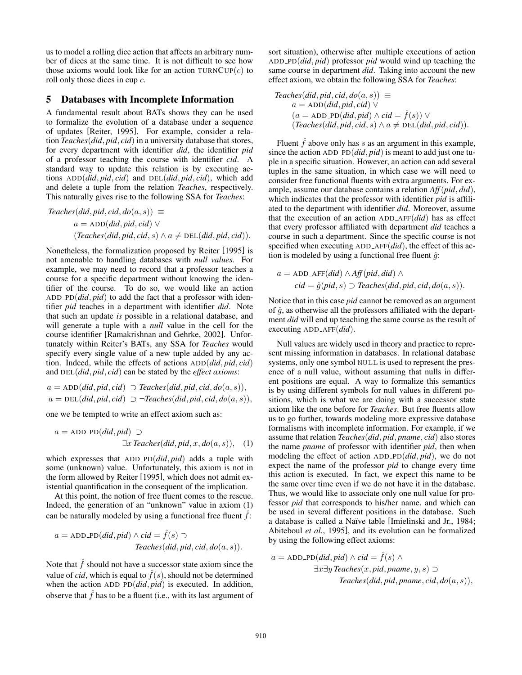us to model a rolling dice action that affects an arbitrary number of dices at the same time. It is not difficult to see how those axioms would look like for an action TURNCUP(*c*) to roll only those dices in cup *c*.

#### 5 Databases with Incomplete Information

A fundamental result about BATs shows they can be used to formalize the evolution of a database under a sequence of updates [Reiter, 1995]. For example, consider a relation *Teaches*(*did, pid, cid*) in a university database that stores, for every department with identifier *did*, the identifier *pid* of a professor teaching the course with identifier *cid*. A standard way to update this relation is by executing actions ADD(*did, pid, cid*) and DEL(*did, pid, cid*), which add and delete a tuple from the relation *Teaches*, respectively. This naturally gives rise to the following SSA for *Teaches*:

$$
Teachers (did, pid, cid, do(a, s)) \equiv
$$
  
\n
$$
a = ADD(di, pid, cid) \lor
$$
  
\n
$$
(Teaches (did, pid, cid, s) \land a \neq DEL(di, pid, cid)).
$$

Nonetheless, the formalization proposed by Reiter [1995] is not amenable to handling databases with *null values*. For example, we may need to record that a professor teaches a course for a specific department without knowing the identifier of the course. To do so, we would like an action ADD PD(*did, pid*) to add the fact that a professor with identifier *pid* teaches in a department with identifier *did*. Note that such an update *is* possible in a relational database, and will generate a tuple with a *null* value in the cell for the course identifier [Ramakrishnan and Gehrke, 2002]. Unfortunately within Reiter's BATs, any SSA for *Teaches* would specify every single value of a new tuple added by any action. Indeed, while the effects of actions ADD(*did, pid, cid*) and DEL(*did, pid, cid*) can be stated by the *effect axioms*:

$$
a = ADD(di, pid, cid) \supset \text{Teachers}(did, pid, cid, do(a, s)),
$$
  

$$
a = DEL(di, pid, cid) \supset \neg \text{Teachers}(did, pid, cid, do(a, s)),
$$

one we be tempted to write an effect axiom such as:

$$
a = ADD\_PD(di, pid) \supset
$$
  

$$
\exists x \text{ Teachers}(did, pid, x, do(a, s)), \quad (1)
$$

which expresses that ADD PD(*did, pid*) adds a tuple with some (unknown) value. Unfortunately, this axiom is not in the form allowed by Reiter [1995], which does not admit existential quantification in the consequent of the implication.

At this point, the notion of free fluent comes to the rescue. Indeed, the generation of an "unknown" value in axiom (1) can be naturally modeled by using a functional free fluent  $f$ :

$$
a = ADD\_PD(di, pid) \land cid = \hat{f}(s) \supset
$$
  
Teaches(idi, pid, cid, do(a, s)).

Note that  $\hat{f}$  should not have a successor state axiom since the value of *cid*, which is equal to  $\hat{f}(s)$ , should not be determined when the action ADD PD(*did, pid*) is executed. In addition, observe that  $\hat{f}$  has to be a fluent (i.e., with its last argument of sort situation), otherwise after multiple executions of action ADD PD(*did, pid*) professor *pid* would wind up teaching the same course in department *did*. Taking into account the new effect axiom, we obtain the following SSA for *Teaches*:

$$
Teachers (did, pid, cid, do(a, s)) \equiv
$$
  
\n
$$
a = ADD (did, pid, cid) \lor
$$
  
\n
$$
(a = ADD\_PD (did, pid) \land cid = \hat{f}(s)) \lor
$$
  
\n
$$
(Teaches (did, pid, cid, s) \land a \neq DEL (did, pid, cid)).
$$

Fluent  $\hat{f}$  above only has  $s$  as an argument in this example, since the action  $ADD_PD(did, pid)$  is meant to add just one tuple in a specific situation. However, an action can add several tuples in the same situation, in which case we will need to consider free functional fluents with extra arguments. For example, assume our database contains a relation *Aff*(*pid, did*), which indicates that the professor with identifier *pid* is affiliated to the department with identifier *did*. Moreover, assume that the execution of an action ADD AFF(*did*) has as effect that every professor affiliated with department *did* teaches a course in such a department. Since the specific course is not specified when executing ADD AFF(*did*), the effect of this action is modeled by using a functional free fluent  $\hat{g}$ :

$$
a = ADD_AFF(id) \land Aff(pid, did) \land
$$
  
 
$$
cid = \hat{g}(pid, s) \supset \text{Teaches}(did, pid, cid, do(a, s)).
$$

Notice that in this case *pid* cannot be removed as an argument of  $\hat{g}$ , as otherwise all the professors affiliated with the department *did* will end up teaching the same course as the result of executing ADD AFF(*did*).

Null values are widely used in theory and practice to represent missing information in databases. In relational database systems, only one symbol NULL is used to represent the presence of a null value, without assuming that nulls in different positions are equal. A way to formalize this semantics is by using different symbols for null values in different positions, which is what we are doing with a successor state axiom like the one before for *Teaches*. But free fluents allow us to go further, towards modeling more expressive database formalisms with incomplete information. For example, if we assume that relation *Teaches*(*did, pid, pname, cid*) also stores the name *pname* of professor with identifier *pid*, then when modeling the effect of action ADD PD(*did, pid*), we do not expect the name of the professor *pid* to change every time this action is executed. In fact, we expect this name to be the same over time even if we do not have it in the database. Thus, we would like to associate only one null value for professor *pid* that corresponds to his/her name, and which can be used in several different positions in the database. Such a database is called a Na¨ıve table [Imielinski and Jr., 1984; Abiteboul *et al.*, 1995], and its evolution can be formalized by using the following effect axioms:

$$
a = ADD\_PD(di, pid) \land cid = \hat{f}(s) \land \exists x \exists y \text{ Teachers}(x, pid, \text{name}, y, s) \supset \text{Teachers}(did, pid, \text{name}, cid, do(a, s)),
$$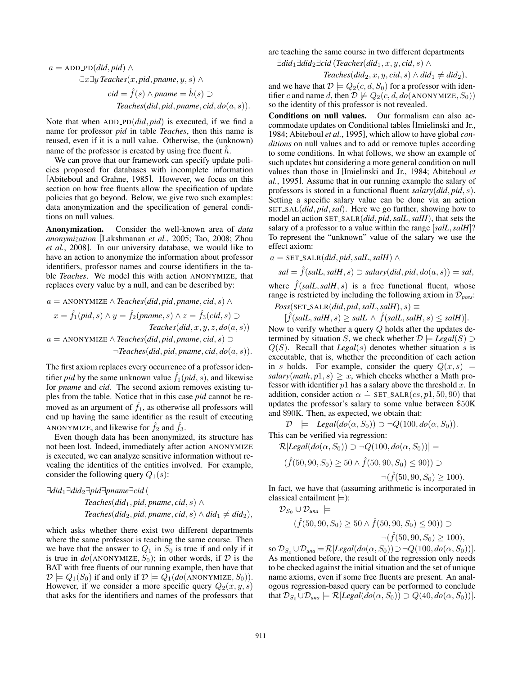$$
a = ADD\_PD(id, pid) \land
$$
  
\n
$$
\neg \exists x \exists y \text{ Teachers}(x, pid, \text{pname}, y, s) \land
$$
  
\n
$$
cid = \hat{f}(s) \land \text{pname} = \hat{h}(s) \supset
$$
  
\n
$$
\text{Teachers}(did, pid, \text{pname}, cid, do(a, s)).
$$

Note that when ADD PD(*did, pid*) is executed, if we find a name for professor *pid* in table *Teaches*, then this name is reused, even if it is a null value. Otherwise, the (unknown) name of the professor is created by using free fluent  $\hat{h}$ .

We can prove that our framework can specify update policies proposed for databases with incomplete information [Abiteboul and Grahne, 1985]. However, we focus on this section on how free fluents allow the specification of update policies that go beyond. Below, we give two such examples: data anonymization and the specification of general conditions on null values.

Anonymization. Consider the well-known area of *data anonymization* [Lakshmanan *et al.*, 2005; Tao, 2008; Zhou *et al.*, 2008]. In our university database, we would like to have an action to anonymize the information about professor identifiers, professor names and course identifiers in the table *Teaches*. We model this with action ANONYMIZE, that replaces every value by a null, and can be described by:

$$
a = \text{ANONYMIZE} \land \text{Teachers}(\text{did}, \text{pid}, \text{pname}, \text{cid}, s) \land
$$
\n
$$
x = \hat{f}_1(\text{pid}, s) \land y = \hat{f}_2(\text{pname}, s) \land z = \hat{f}_3(\text{cid}, s) \supset
$$
\n
$$
\text{Teachers}(\text{did}, x, y, z, \text{do}(a, s))
$$
\n
$$
a = \text{ANONYMIZE} \land \text{Teachers}(\text{did}, \text{pid}, \text{pname}, \text{cid}, s) \supset
$$
\n
$$
\neg \text{Teaches}(\text{did}, \text{pid}, \text{pname}, \text{cid}, \text{do}(a, s)).
$$

The first axiom replaces every occurrence of a professor identifier *pid* by the same unknown value  $\hat{f}_1$  (*pid*, *s*), and likewise for *pname* and *cid*. The second axiom removes existing tuples from the table. Notice that in this case *pid* cannot be removed as an argument of  $f_1$ , as otherwise all professors will end up having the same identifier as the result of executing ANONYMIZE, and likewise for  $f_2$  and  $f_3$ .

Even though data has been anonymized, its structure has not been lost. Indeed, immediately after action ANONYMIZE is executed, we can analyze sensitive information without revealing the identities of the entities involved. For example, consider the following query  $Q_1(s)$ :

$$
\exists did_1 \exists did_2 \exists pid \exists pname \exists cid (\text{
$$
\n
$$
Teaches(idid_1, pid, pname, cid, s) \land
$$
\n
$$
Teaches(idid_2, pid, pname, cid, s) \land did_1 \neq did_2),
$$

which asks whether there exist two different departments where the same professor is teaching the same course. Then we have that the answer to  $Q_1$  in  $S_0$  is true if and only if it is true in  $do$ (ANONYMIZE,  $S_0$ ); in other words, if  $D$  is the BAT with free fluents of our running example, then have that  $\mathcal{D} \models Q_1(S_0)$  if and only if  $\mathcal{D} \models Q_1(do(\text{ANONYMIZE}, S_0)).$ However, if we consider a more specific query  $Q_2(x, y, s)$ that asks for the identifiers and names of the professors that are teaching the same course in two different departments

 $\exists \text{did}_1 \exists \text{did}_2 \exists \text{cid}$  (*Teaches*( $\text{did}_1, x, y, \text{cid}, s$ )  $\wedge$ 

$$
Teaches(di d_2, x, y, cid, s) \wedge did_1 \neq did_2),
$$

and we have that  $\mathcal{D} \models Q_2(c, d, S_0)$  for a professor with identifier *c* and name *d*, then  $\mathcal{D} \not\models Q_2(c, d, do(\text{ANONYMIZE}, S_0))$ so the identity of this professor is not revealed.

Conditions on null values. Our formalism can also accommodate updates on Conditional tables [Imielinski and Jr., 1984; Abiteboul *et al.*, 1995], which allow to have global *conditions* on null values and to add or remove tuples according to some conditions. In what follows, we show an example of such updates but considering a more general condition on null values than those in [Imielinski and Jr., 1984; Abiteboul *et al.*, 1995]. Assume that in our running example the salary of professors is stored in a functional fluent *salary*(*did, pid, s*). Setting a specific salary value can be done via an action SET SAL(*did, pid,sal*). Here we go further, showing how to model an action SET SALR(*did, pid,salL,salH*), that sets the salary of a professor to a value within the range [*salL,salH*]? To represent the "unknown" value of the salary we use the effect axiom:

 $a = \text{SET\_SALR}(did, pid, salt, salt) \wedge$ 

$$
sal = \hat{f}(sall, sall, s) \supset salary(di, pid, do(a, s)) = sal,
$$

where  $\hat{f}(sall, sall, s)$  is a free functional fluent, whose range is restricted by including the following axiom in *Dposs*:

 $Poss(SET\_SALR(di, pid, salt, salt), s) \equiv$ 

 $[\hat{f}(sall, sall, s) \geq sall \land \hat{f}(sall, sall, s) \leq sall].$ 

Now to verify whether a query *Q* holds after the updates determined by situation *S*, we check whether  $\mathcal{D} \models \text{legal}(S) \supset$ *Q*(*S*). Recall that *Legal*(*s*) denotes whether situation *s* is executable, that is, whether the precondition of each action in *s* holds. For example, consider the query  $Q(x, s)$  =  $salary(math, p1, s) \geq x$ , which checks whether a Math professor with identifier *p*1 has a salary above the threshold *x*. In addition, consider action  $\alpha = \text{SET-SALR}(cs, p1, 50, 90)$  that updates the professor's salary to some value between \$50K and \$90K. Then, as expected, we obtain that:

 $\mathcal{D} \models \text{legal}(do(\alpha, S_0)) \supset \neg Q(100, do(\alpha, S_0)).$ This can be verified via regression:

 $\mathcal{R}[Legal(do(\alpha, S_0)) \supset \neg Q(100, do(\alpha, S_0))] =$ 

$$
(\hat{f}(50, 90, S_0) \ge 50 \wedge \hat{f}(50, 90, S_0) \le 90)) \supset
$$

 $\neg(f(50, 90, S_0) \ge 100)$ .

In fact, we have that (assuming arithmetic is incorporated in classical entailment *|*=):

$$
\mathcal{D}_{S_0} \cup \mathcal{D}_{una} \models
$$
  
( $\hat{f}(50, 90, S_0) \ge 50 \land \hat{f}(50, 90, S_0) \le 90)$ )  $\supset$   
–( $\hat{f}(50, 90, S_0) \ge 100$ ),

so  $\mathcal{D}_{S_0} \cup \mathcal{D}_{una} = \mathcal{R}[Legal(do(\alpha, S_0)) \supset \neg Q(100, do(\alpha, S_0))].$ As mentioned before, the result of the regression only needs to be checked against the initial situation and the set of unique name axioms, even if some free fluents are present. An analogous regression-based query can be performed to conclude that  $\mathcal{D}_{S_0} \cup \mathcal{D}_{una} \models \mathcal{R}[Legal(do(\alpha, S_0)) \supset Q(40, do(\alpha, S_0))].$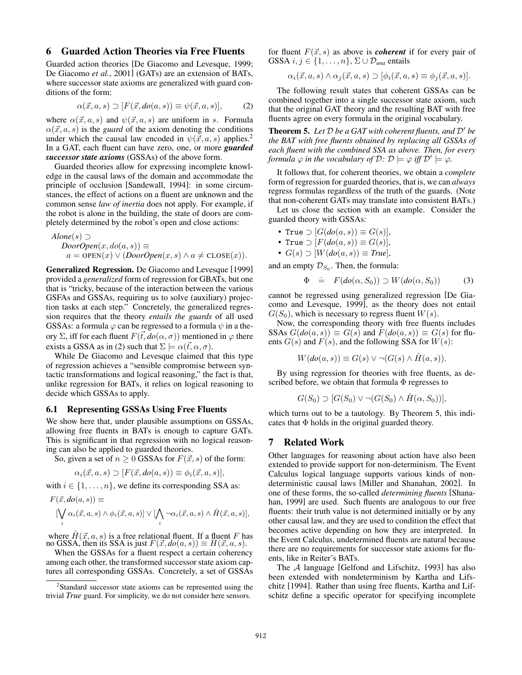### 6 Guarded Action Theories via Free Fluents

Guarded action theories [De Giacomo and Levesque, 1999; De Giacomo *et al.*, 2001] (GATs) are an extension of BATs, where successor state axioms are generalized with guard conditions of the form:

$$
\alpha(\vec{x}, a, s) \supset [F(\vec{x}, do(a, s)) \equiv \psi(\vec{x}, a, s)], \qquad (2)
$$

where  $\alpha(\vec{x}, a, s)$  and  $\psi(\vec{x}, a, s)$  are uniform in *s*. Formula  $\alpha(\vec{x}, a, s)$  is the *guard* of the axiom denoting the conditions under which the causal law encoded in  $\psi(\vec{x}, a, s)$  applies.<sup>2</sup> In a GAT, each fluent can have zero, one, or more *guarded successor state axioms* (GSSAs) of the above form.

Guarded theories allow for expressing incomplete knowledge in the causal laws of the domain and accommodate the principle of occlusion [Sandewall, 1994]: in some circumstances, the effect of actions on a fluent are unknown and the common sense *law of inertia* does not apply. For example, if the robot is alone in the building, the state of doors are completely determined by the robot's open and close actions:

Alone(s)  $\neg$  $DoorOpen(x, do(a, s)) \equiv$  $a = \text{OPEN}(x) \vee (\text{DoorOpen}(x, s) \wedge a \neq \text{CLOSE}(x)).$ 

Generalized Regression. De Giacomo and Levesque [1999] provided a *generalized* form of regression for GBATs, but one that is "tricky, because of the interaction between the various GSFAs and GSSAs, requiring us to solve (auxiliary) projection tasks at each step." Concretely, the generalized regression requires that the theory *entails the guards* of all used GSSAs: a formula  $\varphi$  can be regressed to a formula  $\psi$  in a theory  $\Sigma$ , iff for each fluent  $F(\vec{t}, do(\alpha, \sigma))$  mentioned in  $\varphi$  there exists a GSSA as in (2) such that  $\Sigma \models \alpha(\vec{t}, \alpha, \sigma)$ .

While De Giacomo and Levesque claimed that this type of regression achieves a "sensible compromise between syntactic transformations and logical reasoning," the fact is that, unlike regression for BATs, it relies on logical reasoning to decide which GSSAs to apply.

# 6.1 Representing GSSAs Using Free Fluents

We show here that, under plausible assumptions on GSSAs, allowing free fluents in BATs is enough to capture GATs. This is significant in that regression with no logical reasoning can also be applied to guarded theories.

So, given a set of  $n \geq 0$  GSSAs for  $F(\vec{x}, s)$  of the form:

$$
\alpha_i(\vec{x}, a, s) \supset [F(\vec{x}, do(a, s)) \equiv \phi_i(\vec{x}, a, s)],
$$

with  $i \in \{1, \ldots, n\}$ , we define its corresponding SSA as:

$$
F(\vec{x}, do(a, s)) \equiv \left[\bigvee_i \alpha_i(\vec{x}, a, s) \land \phi_i(\vec{x}, a, s)\right] \lor \left[\bigwedge_i \neg \alpha_i(\vec{x}, a, s) \land \hat{H}(\vec{x}, a, s)\right],
$$

where  $\hat{H}(\vec{x}, a, s)$  is a free relational fluent. If a fluent *F* has no GSSA, then its SSA is just  $F(\vec{x}, do(a, s)) \equiv H(\vec{x}, a, s)$ .

When the GSSAs for a fluent respect a certain coherency among each other, the transformed successor state axiom captures all corresponding GSSAs. Concretely, a set of GSSAs for fluent  $F(\vec{x}, s)$  as above is *coherent* if for every pair of  $GSSA$  *i*,  $j \in \{1, \ldots, n\}$ ,  $\Sigma \cup \mathcal{D}_{una}$  entails

$$
\alpha_i(\vec{x}, a, s) \wedge \alpha_j(\vec{x}, a, s) \supset [\phi_i(\vec{x}, a, s) \equiv \phi_j(\vec{x}, a, s)].
$$

The following result states that coherent GSSAs can be combined together into a single successor state axiom, such that the original GAT theory and the resulting BAT with free fluents agree on every formula in the original vocabulary.

**Theorem 5.** Let  $D$  be a GAT with coherent fluents, and  $D'$  be *the BAT with free fluents obtained by replacing all GSSAs of each fluent with the combined SSA as above. Then, for every formula*  $\varphi$  *in the vocabulary of*  $\mathcal{D}$ *:*  $\mathcal{D} \models \varphi$  *iff*  $\mathcal{D}' \models \varphi$ *.* 

It follows that, for coherent theories, we obtain a *complete* form of regression for guarded theories, that is, we can *always* regress formulas regardless of the truth of the guards. (Note that non-coherent GATs may translate into consistent BATs.)

Let us close the section with an example. Consider the guarded theory with GSSAs:

• True 
$$
\supset [G(do(a, s))] \equiv G(s)],
$$

• True 
$$
\supset [F(do(a, s)) \equiv G(s)],
$$

•  $G(s) \supset [W(do(a, s))] \equiv True],$ 

and an empty  $\mathcal{D}_{S_0}$ . Then, the formula:

$$
\Phi \doteq F(do(\alpha, S_0)) \supset W(do(\alpha, S_0)) \tag{3}
$$

cannot be regressed using generalized regression [De Giacomo and Levesque, 1999], as the theory does not entail  $G(S_0)$ , which is necessary to regress fluent  $W(s)$ .

Now, the corresponding theory with free fluents includes SSAs  $G(do(a, s)) \equiv G(s)$  and  $F(do(a, s)) \equiv G(s)$  for fluents  $G(s)$  and  $F(s)$ , and the following SSA for  $W(s)$ :

$$
W(do(a,s)) \equiv G(s) \vee \neg (G(s) \wedge \hat{H}(a,s)).
$$

By using regression for theories with free fluents, as described before, we obtain that formula  $\Phi$  regresses to

$$
G(S_0) \supset [G(S_0) \vee \neg (G(S_0) \wedge \hat{H}(\alpha, S_0))],
$$

which turns out to be a tautology. By Theorem 5, this indicates that  $\Phi$  holds in the original guarded theory.

#### 7 Related Work

Other languages for reasoning about action have also been extended to provide support for non-determinism. The Event Calculus logical language supports various kinds of nondeterministic causal laws [Miller and Shanahan, 2002]. In one of these forms, the so-called *determining fluents* [Shanahan, 1999] are used. Such fluents are analogous to our free fluents: their truth value is not determined initially or by any other causal law, and they are used to condition the effect that becomes active depending on how they are interpreted. In the Event Calculus, undetermined fluents are natural because there are no requirements for successor state axioms for fluents, like in Reiter's BATs.

The *A* language [Gelfond and Lifschitz, 1993] has also been extended with nondeterminism by Kartha and Lifschitz [1994]. Rather than using free fluents, Kartha and Lifschitz define a specific operator for specifying incomplete

<sup>&</sup>lt;sup>2</sup>Standard successor state axioms can be represented using the trivial *True* guard. For simplicity, we do not consider here sensors.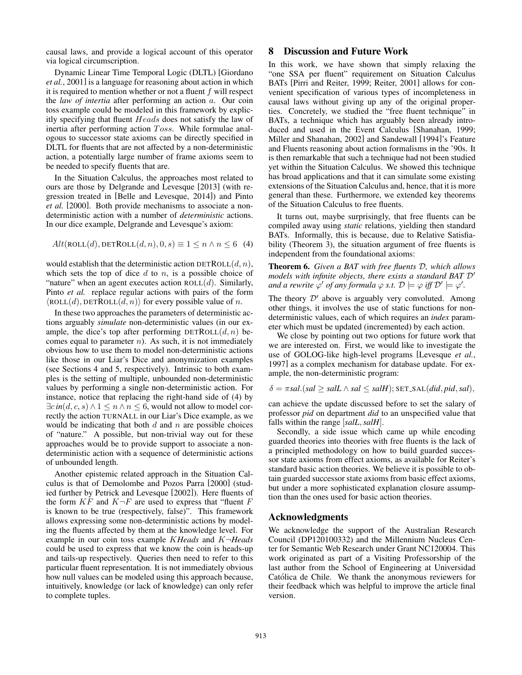causal laws, and provide a logical account of this operator via logical circumscription.

Dynamic Linear Time Temporal Logic (DLTL) [Giordano *et al.*, 2001] is a language for reasoning about action in which it is required to mention whether or not a fluent *f* will respect the *law of intertia* after performing an action *a*. Our coin toss example could be modeled in this framework by explicitly specifying that fluent *Heads* does not satisfy the law of inertia after performing action *T oss*. While formulae analogous to successor state axioms can be directly specified in DLTL for fluents that are not affected by a non-deterministic action, a potentially large number of frame axioms seem to be needed to specify fluents that are.

In the Situation Calculus, the approaches most related to ours are those by Delgrande and Levesque [2013] (with regression treated in [Belle and Levesque, 2014]) and Pinto *et al.* [2000]. Both provide mechanisms to associate a nondeterministic action with a number of *deterministic* actions. In our dice example, Delgrande and Levesque's axiom:

$$
Alt(\text{ROLL}(d), \text{DETROLL}(d, n), 0, s) \equiv 1 \le n \land n \le 6 \quad (4)
$$

would establish that the deterministic action DETROLL(*d, n*), which sets the top of dice *d* to *n*, is a possible choice of "nature" when an agent executes action  $ROLL(d)$ . Similarly, Pinto *et al.* replace regular actions with pairs of the form  $\langle \text{ROLL}(d), \text{DETROLL}(d, n) \rangle$  for every possible value of *n*.

In these two approaches the parameters of deterministic actions arguably *simulate* non-deterministic values (in our example, the dice's top after performing  $\text{DETROLL}(d, n)$  becomes equal to parameter *n*). As such, it is not immediately obvious how to use them to model non-deterministic actions like those in our Liar's Dice and anonymization examples (see Sections 4 and 5, respectively). Intrinsic to both examples is the setting of multiple, unbounded non-deterministic values by performing a single non-deterministic action. For instance, notice that replacing the right-hand side of (4) by  $\exists c \text{ in } (d, c, s) \land 1 \leq n \land n \leq 6$ , would not allow to model correctly the action TURNALL in our Liar's Dice example, as we would be indicating that both *d* and *n* are possible choices of "nature." A possible, but non-trivial way out for these approaches would be to provide support to associate a nondeterministic action with a sequence of deterministic actions of unbounded length.

Another epistemic related approach in the Situation Calculus is that of Demolombe and Pozos Parra [2000] (studied further by Petrick and Levesque [2002]). Here fluents of the form  $KF$  and  $K\neg F$  are used to express that "fluent  $F$ is known to be true (respectively, false)". This framework allows expressing some non-deterministic actions by modeling the fluents affected by them at the knowledge level. For example in our coin toss example *KHeads* and *K¬Heads* could be used to express that we know the coin is heads-up and tails-up respectively. Queries then need to refer to this particular fluent representation. It is not immediately obvious how null values can be modeled using this approach because, intuitively, knowledge (or lack of knowledge) can only refer to complete tuples.

## 8 Discussion and Future Work

In this work, we have shown that simply relaxing the "one SSA per fluent" requirement on Situation Calculus BATs [Pirri and Reiter, 1999; Reiter, 2001] allows for convenient specification of various types of incompleteness in causal laws without giving up any of the original properties. Concretely, we studied the "free fluent technique" in BATs, a technique which has arguably been already introduced and used in the Event Calculus [Shanahan, 1999; Miller and Shanahan, 2002] and Sandewall [1994]'s Feature and Fluents reasoning about action formalisms in the '90s. It is then remarkable that such a technique had not been studied yet within the Situation Calculus. We showed this technique has broad applications and that it can simulate some existing extensions of the Situation Calculus and, hence, that it is more general than these. Furthermore, we extended key theorems of the Situation Calculus to free fluents.

It turns out, maybe surprisingly, that free fluents can be compiled away using *static* relations, yielding then standard BATs. Informally, this is because, due to Relative Satisfiability (Theorem 3), the situation argument of free fluents is independent from the foundational axioms:

Theorem 6. *Given a BAT with free fluents D, which allows models with infinite objects, there exists a standard BAT*  $\mathcal{D}'$ *and a rewrite*  $\varphi'$  *of any formula*  $\varphi$  *s.t.*  $\mathcal{D} \models \varphi$  *iff*  $\mathcal{D}' \models \varphi'$ *.* 

The theory  $D'$  above is arguably very convoluted. Among other things, it involves the use of static functions for nondeterministic values, each of which requires an *index* parameter which must be updated (incremented) by each action.

We close by pointing out two options for future work that we are interested on. First, we would like to investigate the use of GOLOG-like high-level programs [Levesque *et al.*, 1997] as a complex mechanism for database update. For example, the non-deterministic program:

$$
\delta = \pi \mathit{sal}.(\mathit{sal} \geq \mathit{salL} \land \mathit{sal} \leq \mathit{salH});
$$
SET-SAL( $did$ ,  $pid$ ,  $sal$ ),

can achieve the update discussed before to set the salary of professor *pid* on department *did* to an unspecified value that falls within the range [*salL,salH*].

Secondly, a side issue which came up while encoding guarded theories into theories with free fluents is the lack of a principled methodology on how to build guarded successor state axioms from effect axioms, as available for Reiter's standard basic action theories. We believe it is possible to obtain guarded successor state axioms from basic effect axioms, but under a more sophisticated explanation closure assumption than the ones used for basic action theories.

#### Acknowledgments

We acknowledge the support of the Australian Research Council (DP120100332) and the Millennium Nucleus Center for Semantic Web Research under Grant NC120004. This work originated as part of a Visiting Professorship of the last author from the School of Engineering at Universidad Catolica de Chile. We thank the anonymous reviewers for ´ their feedback which was helpful to improve the article final version.